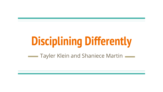# **Disciplining Differently**

Tayler Klein and Shaniece Martin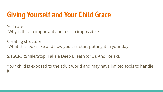#### **Giving Yourself and Your Child Grace**

Self care -Why is this so important and feel so impossible?

Creating structure -What this looks like and how you can start putting it in your day.

**S.T.A.R.** (Smile/Stop, Take a Deep Breath (or 3), And, Relax),

Your child is exposed to the adult world and may have limited tools to handle it.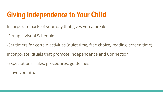#### **Giving Independence to Your Child**

Incorporate parts of your day that gives you a break.

-Set up a Visual Schedule

-Set timers for certain activities (quiet time, free choice, reading, screen time)

Incorporate Rituals that promote Independence and Connection

-Expectations, rules, procedures, guidelines

-I love you rituals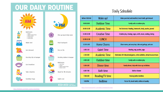#### **OUR DAILY ROUTINE**





Bathroom: • Potty • Wash hands & face · Brush teeth · Comb hair · Sunscreen

Make bed



 $\frac{1}{2}$ 

Get dressed

Put dirty PJs in hamper















Eat breakfast

Goodbye hugs



Pick up toys & tidy room



Put dirty clothes in hamper



· Wash hands & face · Brush teeth

Read for 15 minutes

Lights out

#### KID@KID MIDS' RESALE



| Before 9:00 AM    | Wake up!             | Make your bed, eat breakfast, brush teeth, get dressed                     |
|-------------------|----------------------|----------------------------------------------------------------------------|
| $9:00-10:00$      | <b>Outdoor Time</b>  | Family walk or outdoor play                                                |
| 10:00-11:00       | <b>Academic Time</b> | No Electronics! Reading, homework, study, puzzles, journal                 |
| 11:00-12:00       | <b>Creative Time</b> | Creative play, drawing, Legos, crafts, music, cooking, baking              |
| 12:00-12:30       | <b>LUNCH</b>         |                                                                            |
| 12:30-1:00        | <b>Home Chores</b>   | Clean rooms, put away toys, take out garbage, pet care                     |
| $1:00-2:30$       | <b>Quiet Time</b>    | Reading, nap, puzzles, yoga                                                |
| $2 - 30 - 4 - 00$ | <b>Academic Time</b> | Electronics OK! Educational games, online activities, virtual museum tours |
| 4:00-5:00         | <b>Outdoor time</b>  | Family walk or outdoor play                                                |
| $5:00-6:00$       | Dinner time          | Family dinner, help with clean-up and dishes                               |
| $6:00 - 7:00$     | <b>Bath time</b>     | <b>Bath or shower</b>                                                      |
| 7:00-8:00         | Reading/TV time      | <b>Relaxing before bedtime</b>                                             |
| 9:00 PM           | <b>Bedtime</b>       | Put on PJs, brush teeth, clothes in laundry                                |

<https://mommyhood101.com/daily-schedule-for-kids>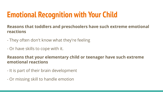#### **Emotional Recognition with Your Child**

**Reasons that toddlers and preschoolers have such extreme emotional reactions**

- They often don't know what they're feeling
- Or have skills to cope with it.

#### **Reasons that your elementary child or teenager have such extreme emotional reactions**

- It is part of their brain development
- Or missing skill to handle emotion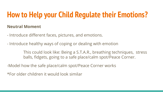### **How to Help your Child Regulate their Emotions?**

#### **Neutral Moment**

- Introduce different faces, pictures, and emotions.
- Introduce healthy ways of coping or dealing with emotion

This could look like: Being a S.T.A.R., breathing techniques, stress balls, fidgets, going to a safe place/calm spot/Peace Corner.

-Model how the safe place/calm spot/Peace Corner works

\*For older children it would look similar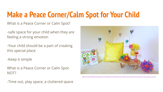#### **Make a Peace Corner/Calm Spot for Your Child**

What is a Peace Corner or Calm Spot?

-safe space for your child when they are feeling a strong emotion

-Your child should be a part of creating this special place

-Keep it simple

What is a Peace Corner or Calm Spot NOT?

-Time out, play space, a cluttered space



//www.alittleroom2grow.com/blog/2017/3/5/time-out-chair-not-working-anymore-try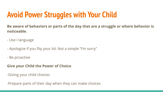### **Avoid Power Struggles with Your Child**

**Be aware of behaviors or parts of the day that are a struggle or where behavior is noticeable**.

- Use I language
- Apologize if you flip your lid. Not a simple "I'm sorry"
- Be proactive
- **Give your Child the Power of Choice**
- -Giving your child choices

-Prepare parts of their day when they can make choices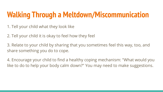#### **Walking Through a Meltdown/Miscommunication**

- 1. Tell your child what they look like
- 2. Tell your child it is okay to feel how they feel
- 3. Relate to your child by sharing that you sometimes feel this way, too, and share something you do to cope.
- 4. Encourage your child to find a healthy coping mechanism: "What would you like to do to help your body calm down?" You may need to make suggestions.